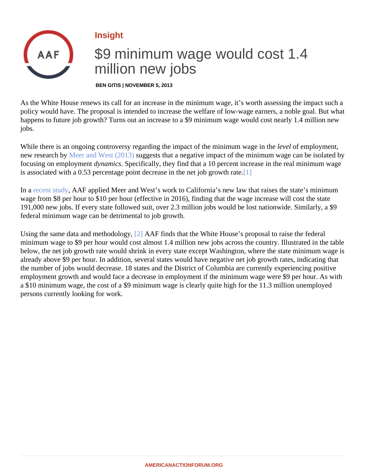## <span id="page-0-0"></span>Insight

## \$9 minimum wage would cost 1.4 million new jobs

BEN GITIS | NOVEMBER 5, 2013

As the White House renews its call for an increase in the minimum wage, it's worth assessing the impact sucle policy would have. The proposal is intended to increase the welfare of low-wage earners, a noble goal. But w happens to future job growth? Turns out an increase to a \$9 minimum wage would cost nearly 1.4 million nev jobs.

While there is an ongoing controversy regarding the impact of the minimum wage in the employment, new research bive er and West (2013) uggests that a negative impact of the minimum wage can be isolated by focusing on employmentynamics Specifically, they find that a 10 percent increase in the real minimum wage is associated with a  $0.53$  percentage point decrease in the net job gro[wth](#page-4-0) rate.

In a [recent stud](�� h t t p : / / a m e r i c a n a c t i o n f o r u m . o r g / r e s e a r c h / t h e - s t e e p - c o s t - o f - a - 1 0 - m i n i m u m - w a g e)y AAF applied Meer and West's work to California's new law that raises the state's minimum wage from \$8 per hour to \$10 per hour (effective in 2016), finding that the wage increase will cost the state 191,000 new jobs. If every state followed suit, over 2.3 million jobs would be lost nationwide. Similarly, a \$9 federal minimum wage can be detrimental to job growth.

Using the same data and methodology AAF finds that the White House's proposal to raise the federal minimum wage to \$9 per hour would cost almost 1.4 million new jobs across the country. Illustrated in the tab below, the net job growth rate would shrink in every state except Washington, where the state minimum wage already above \$9 per hour. In addition, several states would have negative net job growth rates, indicating tha the number of jobs would decrease. 18 states and the District of Columbia are currently experiencing positive employment growth and would face a decrease in employment if the minimum wage were \$9 per hour. As with a \$10 minimum wage, the cost of a \$9 minimum wage is clearly quite high for the 11.3 million unemployed persons currently looking for work.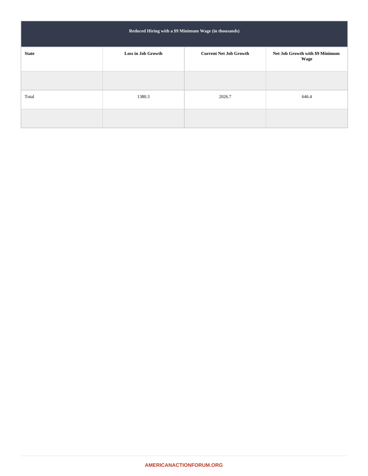| Reduced Hiring with a \$9 Minimum Wage (in thousands) |                    |                               |                                         |  |  |
|-------------------------------------------------------|--------------------|-------------------------------|-----------------------------------------|--|--|
| <b>State</b>                                          | Loss in Job Growth | <b>Current Net Job Growth</b> | Net Job Growth with \$9 Minimum<br>Wage |  |  |
|                                                       |                    |                               |                                         |  |  |
| Total                                                 | 1380.3             | 2026.7                        | 646.4                                   |  |  |
|                                                       |                    |                               |                                         |  |  |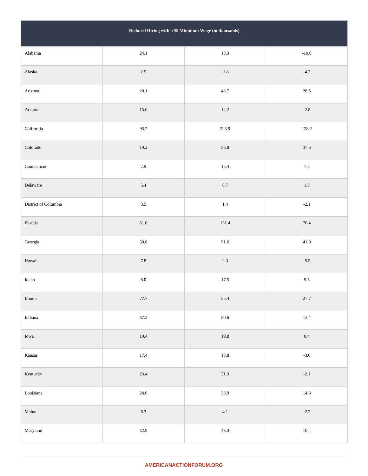| Reduced Hiring with a \$9 Minimum Wage (in thousands) |          |               |          |  |  |
|-------------------------------------------------------|----------|---------------|----------|--|--|
| Alabama                                               | 24.1     | 13.3          | $-10.8$  |  |  |
| Alaska                                                | $2.9\,$  | $\mbox{-}1.8$ | $-4.7$   |  |  |
| Arizona                                               | 20.1     | 48.7          | 28.6     |  |  |
| Arkansa                                               | $15.0\,$ | 12.2          | $-2.8$   |  |  |
| California                                            | 95.7     | 223.9         | 128.2    |  |  |
| $\rm Colorado$                                        | 19.2     | 56.8          | 37.6     |  |  |
| Connecticut                                           | 7.9      | 15.4          | $7.5\,$  |  |  |
| Delaware                                              | 5.4      | $6.7\,$       | $1.3\,$  |  |  |
| District of Columbia                                  | $3.5\,$  | $1.4\,$       | $-2.1$   |  |  |
| ${\rm Florida}$                                       | $61.0\,$ | 131.4         | $70.4\,$ |  |  |
| Georgia                                               | 50.6     | 91.6          | $41.0\,$ |  |  |
| $\it Hawaii$                                          | $7.8\,$  | $2.3\,$       | $-5.5$   |  |  |
| $\rm Idaho$                                           | $8.0\,$  | 17.5          | $9.5\,$  |  |  |
| $\rm Illinois$                                        | 27.7     | 55.4          | 27.7     |  |  |
| $\operatorname{Indiana}$                              | 37.2     | $50.6\,$      | 13.4     |  |  |
| Iowa                                                  | 19.4     | 19.8          | $0.4\,$  |  |  |
| $\rm{Kansas}$                                         | 17.4     | $13.8\,$      | $-3.6$   |  |  |
| Kentucky                                              | 23.4     | $21.3\,$      | $-2.1$   |  |  |
| ${\rm Louisiana}$                                     | 24.6     | 38.9          | 14.3     |  |  |
| $\mathbf{Maine}$                                      | $6.3\,$  | 4.1           | $-2.2$   |  |  |
| Maryland                                              | 32.9     | 43.3          | 10.4     |  |  |

## **AMERICANACTIONFORUM.ORG**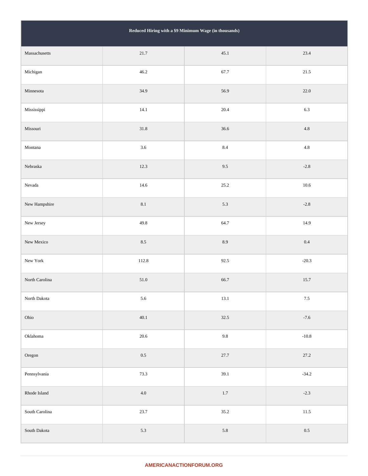| Reduced Hiring with a \$9 Minimum Wage (in thousands) |          |         |         |  |  |
|-------------------------------------------------------|----------|---------|---------|--|--|
| Massachusetts                                         | 21.7     | 45.1    | 23.4    |  |  |
| Michigan                                              | 46.2     | 67.7    | 21.5    |  |  |
| Minnesota                                             | 34.9     | 56.9    | 22.0    |  |  |
| Mississippi                                           | 14.1     | 20.4    | 6.3     |  |  |
| Missouri                                              | 31.8     | 36.6    | $4.8\,$ |  |  |
| Montana                                               | 3.6      | $8.4\,$ | $4.8\,$ |  |  |
| Nebraska                                              | 12.3     | 9.5     | $-2.8$  |  |  |
| Nevada                                                | 14.6     | 25.2    | 10.6    |  |  |
| New Hampshire                                         | $8.1\,$  | 5.3     | $-2.8$  |  |  |
| New Jersey                                            | 49.8     | 64.7    | 14.9    |  |  |
| New Mexico                                            | $8.5\,$  | $8.9\,$ | $0.4\,$ |  |  |
| New York                                              | 112.8    | 92.5    | $-20.3$ |  |  |
| North Carolina                                        | $51.0\,$ | 66.7    | 15.7    |  |  |
| North Dakota                                          | 5.6      | 13.1    | $7.5\,$ |  |  |
| Ohio                                                  | 40.1     | 32.5    | $-7.6$  |  |  |
| Oklahoma                                              | 20.6     | $9.8\,$ | $-10.8$ |  |  |
| Oregon                                                | $0.5\,$  | 27.7    | 27.2    |  |  |
| Pennsylvania                                          | 73.3     | 39.1    | $-34.2$ |  |  |
| Rhode Island                                          | $4.0\,$  | $1.7\,$ | $-2.3$  |  |  |
| South Carolina                                        | 23.7     | 35.2    | 11.5    |  |  |
| South Dakota                                          | $5.3\,$  | $5.8\,$ | $0.5\,$ |  |  |

## **AMERICANACTIONFORUM.ORG**